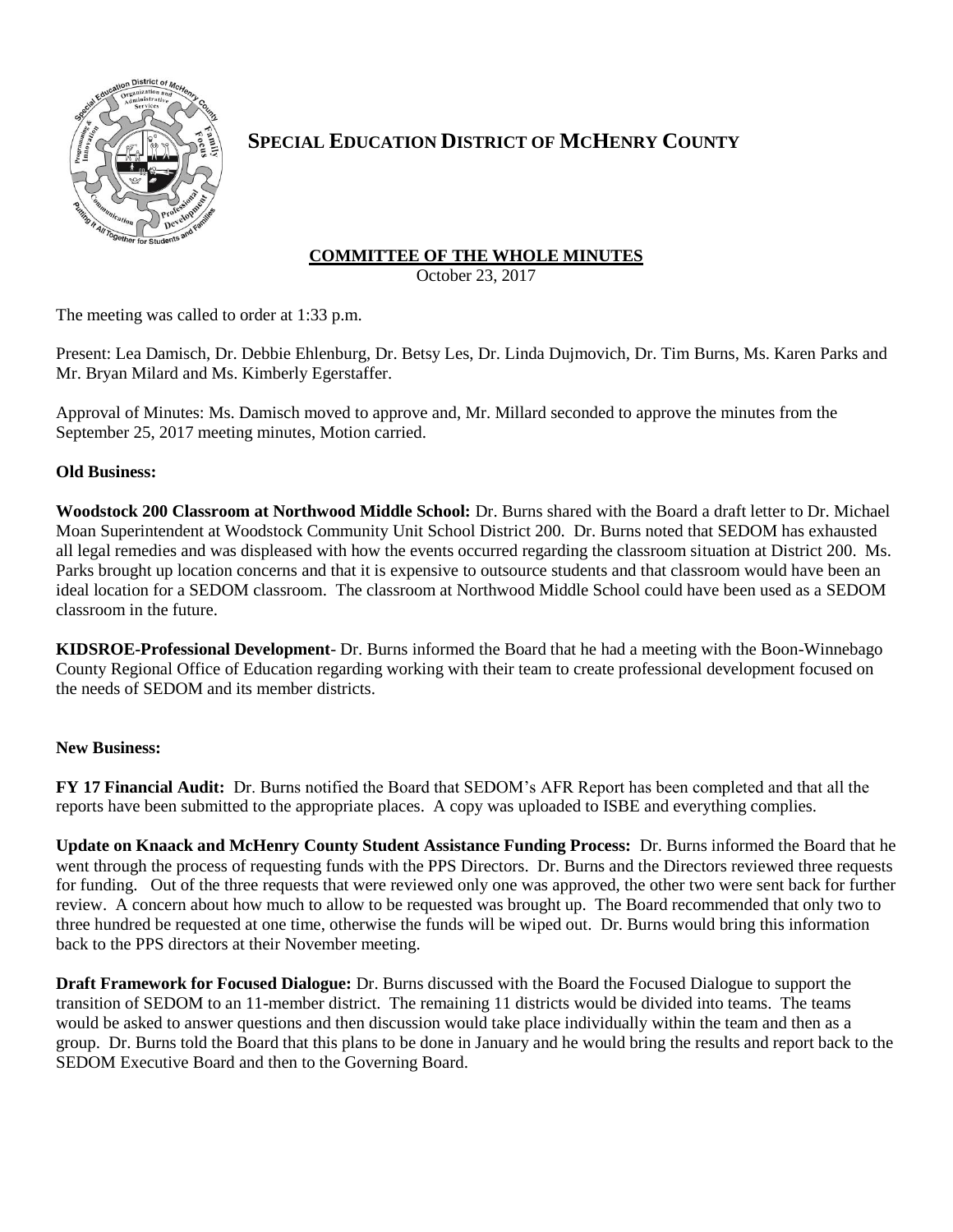

# **SPECIAL EDUCATION DISTRICT OF MCHENRY COUNTY**

## **COMMITTEE OF THE WHOLE MINUTES**

October 23, 2017

The meeting was called to order at 1:33 p.m.

Present: Lea Damisch, Dr. Debbie Ehlenburg, Dr. Betsy Les, Dr. Linda Dujmovich, Dr. Tim Burns, Ms. Karen Parks and Mr. Bryan Milard and Ms. Kimberly Egerstaffer.

Approval of Minutes: Ms. Damisch moved to approve and, Mr. Millard seconded to approve the minutes from the September 25, 2017 meeting minutes, Motion carried.

### **Old Business:**

**Woodstock 200 Classroom at Northwood Middle School:** Dr. Burns shared with the Board a draft letter to Dr. Michael Moan Superintendent at Woodstock Community Unit School District 200. Dr. Burns noted that SEDOM has exhausted all legal remedies and was displeased with how the events occurred regarding the classroom situation at District 200. Ms. Parks brought up location concerns and that it is expensive to outsource students and that classroom would have been an ideal location for a SEDOM classroom. The classroom at Northwood Middle School could have been used as a SEDOM classroom in the future.

**KIDSROE-Professional Development**- Dr. Burns informed the Board that he had a meeting with the Boon-Winnebago County Regional Office of Education regarding working with their team to create professional development focused on the needs of SEDOM and its member districts.

### **New Business:**

**FY 17 Financial Audit:** Dr. Burns notified the Board that SEDOM's AFR Report has been completed and that all the reports have been submitted to the appropriate places. A copy was uploaded to ISBE and everything complies.

**Update on Knaack and McHenry County Student Assistance Funding Process:** Dr. Burns informed the Board that he went through the process of requesting funds with the PPS Directors. Dr. Burns and the Directors reviewed three requests for funding. Out of the three requests that were reviewed only one was approved, the other two were sent back for further review. A concern about how much to allow to be requested was brought up. The Board recommended that only two to three hundred be requested at one time, otherwise the funds will be wiped out. Dr. Burns would bring this information back to the PPS directors at their November meeting.

**Draft Framework for Focused Dialogue:** Dr. Burns discussed with the Board the Focused Dialogue to support the transition of SEDOM to an 11-member district. The remaining 11 districts would be divided into teams. The teams would be asked to answer questions and then discussion would take place individually within the team and then as a group. Dr. Burns told the Board that this plans to be done in January and he would bring the results and report back to the SEDOM Executive Board and then to the Governing Board.